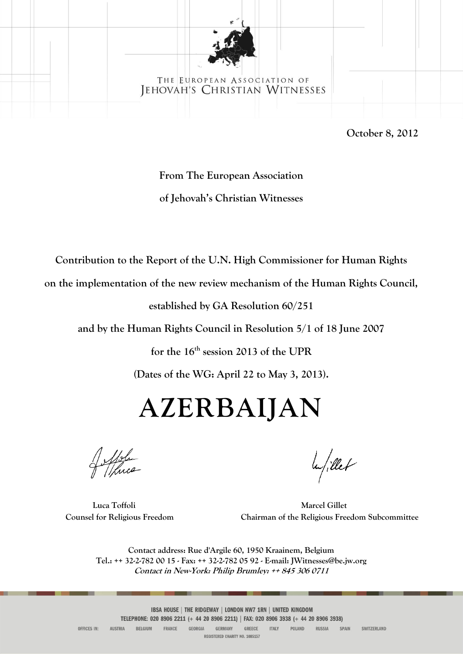

#### THE EUROPEAN ASSOCIATION OF JEHOVAH'S CHRISTIAN WITNESSES

**October 8, 2012** 

# **From The European Association of Jehovah's Christian Witnesses**

**Contribution to the Report of the U.N. High Commissioner for Human Rights** 

**on the implementation of the new review mechanism of the Human Rights Council,** 

**established by GA Resolution 60/251** 

**and by the Human Rights Council in Resolution 5/1 of 18 June 2007** 

**for the 16 th session 2013 of the UPR**

**(Dates of the WG: April 22 to May 3, 2013).**

# **AZERBAIJAN**

la/illet

**Luca Toffoli Marcel Gillet Counsel for Religious Freedom Chairman of the Religious Freedom Subcommittee**

**Contact address: Rue d'Argile 60, 1950 Kraainem, Belgium Tel.: ++ 32-2-782 00 15 - Fax: ++ 32-2-782 05 92 - E-mail: JWitnesses@be.jw.org Contact in New-York: Philip Brumley: ++ 845 306 0711**

IBSA HOUSE | THE RIDGEWAY | LONDON NW7 1RN | UNITED KINGDOM TELEPHONE: 020 8906 2211 (+ 44 20 8906 2211) | FAX: 020 8906 3938 (+ 44 20 8906 3938)

OFFICES IN: **AUSTRIA** BELGIUM FRANCE GEORGIA **GERMANY** GREECE **ITALY** POLAND RUSSIA SPAIN SWITZERLAND REGISTERED CHARITY NO. 1085157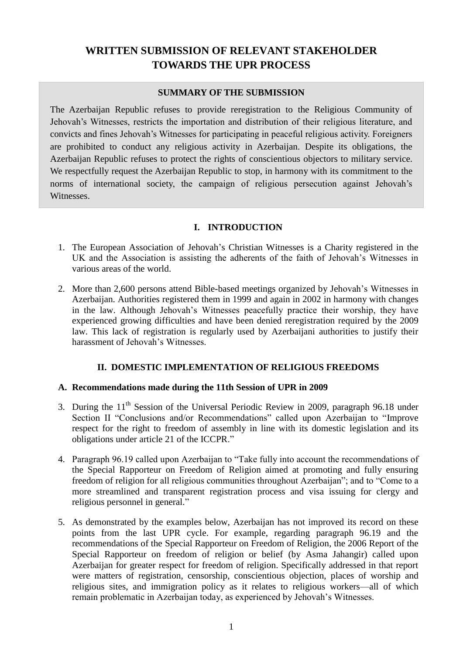# **WRITTEN SUBMISSION OF RELEVANT STAKEHOLDER TOWARDS THE UPR PROCESS**

#### **SUMMARY OF THE SUBMISSION**

The Azerbaijan Republic refuses to provide reregistration to the Religious Community of Jehovah's Witnesses, restricts the importation and distribution of their religious literature, and convicts and fines Jehovah's Witnesses for participating in peaceful religious activity. Foreigners are prohibited to conduct any religious activity in Azerbaijan. Despite its obligations, the Azerbaijan Republic refuses to protect the rights of conscientious objectors to military service. We respectfully request the Azerbaijan Republic to stop, in harmony with its commitment to the norms of international society, the campaign of religious persecution against Jehovah's Witnesses.

# **I. INTRODUCTION**

- 1. The European Association of Jehovah's Christian Witnesses is a Charity registered in the UK and the Association is assisting the adherents of the faith of Jehovah's Witnesses in various areas of the world.
- 2. More than 2,600 persons attend Bible-based meetings organized by Jehovah's Witnesses in Azerbaijan. Authorities registered them in 1999 and again in 2002 in harmony with changes in the law. Although Jehovah's Witnesses peacefully practice their worship, they have experienced growing difficulties and have been denied reregistration required by the 2009 law. This lack of registration is regularly used by Azerbaijani authorities to justify their harassment of Jehovah's Witnesses.

## **II. DOMESTIC IMPLEMENTATION OF RELIGIOUS FREEDOMS**

## **A. Recommendations made during the 11th Session of UPR in 2009**

- 3. During the  $11<sup>th</sup>$  Session of the Universal Periodic Review in 2009, paragraph 96.18 under Section II "Conclusions and/or Recommendations" called upon Azerbaijan to "Improve respect for the right to freedom of assembly in line with its domestic legislation and its obligations under article 21 of the ICCPR."
- 4. Paragraph 96.19 called upon Azerbaijan to "Take fully into account the recommendations of the Special Rapporteur on Freedom of Religion aimed at promoting and fully ensuring freedom of religion for all religious communities throughout Azerbaijan"; and to "Come to a more streamlined and transparent registration process and visa issuing for clergy and religious personnel in general."
- 5. As demonstrated by the examples below, Azerbaijan has not improved its record on these points from the last UPR cycle. For example, regarding paragraph 96.19 and the recommendations of the Special Rapporteur on Freedom of Religion, the 2006 Report of the Special Rapporteur on freedom of religion or belief (by Asma Jahangir) called upon Azerbaijan for greater respect for freedom of religion. Specifically addressed in that report were matters of registration, censorship, conscientious objection, places of worship and religious sites, and immigration policy as it relates to religious workers—all of which remain problematic in Azerbaijan today, as experienced by Jehovah's Witnesses.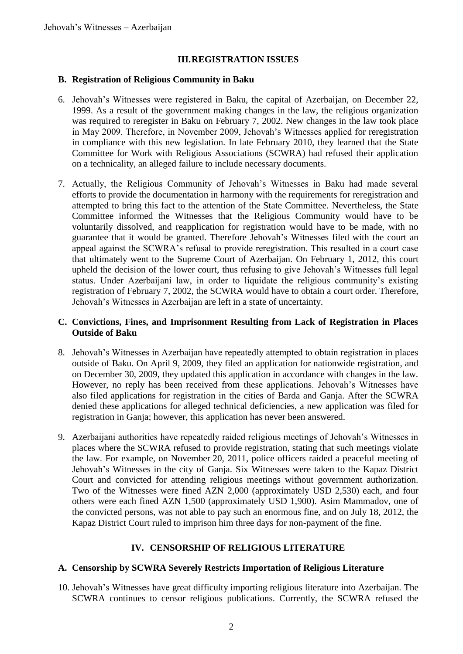#### **III.REGISTRATION ISSUES**

#### **B. Registration of Religious Community in Baku**

- 6. Jehovah's Witnesses were registered in Baku, the capital of Azerbaijan, on December 22, 1999. As a result of the government making changes in the law, the religious organization was required to reregister in Baku on February 7, 2002. New changes in the law took place in May 2009. Therefore, in November 2009, Jehovah's Witnesses applied for reregistration in compliance with this new legislation. In late February 2010, they learned that the State Committee for Work with Religious Associations (SCWRA) had refused their application on a technicality, an alleged failure to include necessary documents.
- 7. Actually, the Religious Community of Jehovah's Witnesses in Baku had made several efforts to provide the documentation in harmony with the requirements for reregistration and attempted to bring this fact to the attention of the State Committee. Nevertheless, the State Committee informed the Witnesses that the Religious Community would have to be voluntarily dissolved, and reapplication for registration would have to be made, with no guarantee that it would be granted. Therefore Jehovah's Witnesses filed with the court an appeal against the SCWRA's refusal to provide reregistration. This resulted in a court case that ultimately went to the Supreme Court of Azerbaijan. On February 1, 2012, this court upheld the decision of the lower court, thus refusing to give Jehovah's Witnesses full legal status. Under Azerbaijani law, in order to liquidate the religious community's existing registration of February 7, 2002, the SCWRA would have to obtain a court order. Therefore, Jehovah's Witnesses in Azerbaijan are left in a state of uncertainty.

#### **C. Convictions, Fines, and Imprisonment Resulting from Lack of Registration in Places Outside of Baku**

- 8. Jehovah's Witnesses in Azerbaijan have repeatedly attempted to obtain registration in places outside of Baku. On April 9, 2009, they filed an application for nationwide registration, and on December 30, 2009, they updated this application in accordance with changes in the law. However, no reply has been received from these applications. Jehovah's Witnesses have also filed applications for registration in the cities of Barda and Ganja. After the SCWRA denied these applications for alleged technical deficiencies, a new application was filed for registration in Ganja; however, this application has never been answered.
- 9. Azerbaijani authorities have repeatedly raided religious meetings of Jehovah's Witnesses in places where the SCWRA refused to provide registration, stating that such meetings violate the law. For example, on November 20, 2011, police officers raided a peaceful meeting of Jehovah's Witnesses in the city of Ganja. Six Witnesses were taken to the Kapaz District Court and convicted for attending religious meetings without government authorization. Two of the Witnesses were fined AZN 2,000 (approximately USD 2,530) each, and four others were each fined AZN 1,500 (approximately USD 1,900). Asim Mammadov, one of the convicted persons, was not able to pay such an enormous fine, and on July 18, 2012, the Kapaz District Court ruled to imprison him three days for non-payment of the fine.

## **IV. CENSORSHIP OF RELIGIOUS LITERATURE**

#### **A. Censorship by SCWRA Severely Restricts Importation of Religious Literature**

10. Jehovah's Witnesses have great difficulty importing religious literature into Azerbaijan. The SCWRA continues to censor religious publications. Currently, the SCWRA refused the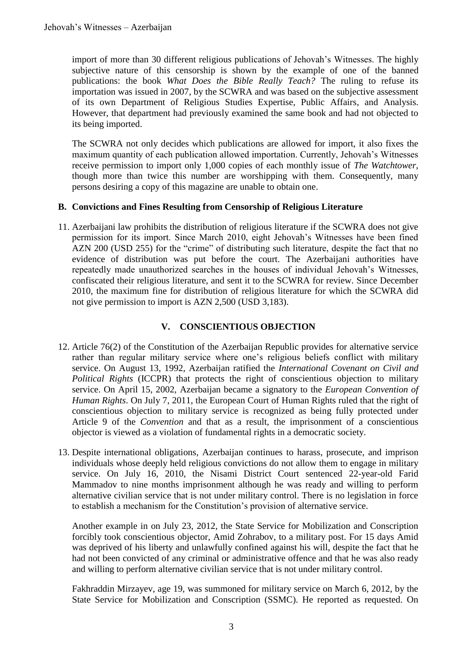import of more than 30 different religious publications of Jehovah's Witnesses. The highly subjective nature of this censorship is shown by the example of one of the banned publications: the book *What Does the Bible Really Teach?* The ruling to refuse its importation was issued in 2007, by the SCWRA and was based on the subjective assessment of its own Department of Religious Studies Expertise, Public Affairs, and Analysis. However, that department had previously examined the same book and had not objected to its being imported.

The SCWRA not only decides which publications are allowed for import, it also fixes the maximum quantity of each publication allowed importation. Currently, Jehovah's Witnesses receive permission to import only 1,000 copies of each monthly issue of *The Watchtower*, though more than twice this number are worshipping with them. Consequently, many persons desiring a copy of this magazine are unable to obtain one.

# **B. Convictions and Fines Resulting from Censorship of Religious Literature**

11. Azerbaijani law prohibits the distribution of religious literature if the SCWRA does not give permission for its import. Since March 2010, eight Jehovah's Witnesses have been fined AZN 200 (USD 255) for the "crime" of distributing such literature, despite the fact that no evidence of distribution was put before the court. The Azerbaijani authorities have repeatedly made unauthorized searches in the houses of individual Jehovah's Witnesses, confiscated their religious literature, and sent it to the SCWRA for review. Since December 2010, the maximum fine for distribution of religious literature for which the SCWRA did not give permission to import is AZN 2,500 (USD 3,183).

# **V. CONSCIENTIOUS OBJECTION**

- 12. Article 76(2) of the Constitution of the Azerbaijan Republic provides for alternative service rather than regular military service where one's religious beliefs conflict with military service. On August 13, 1992, Azerbaijan ratified the *International Covenant on Civil and Political Rights* (ICCPR) that protects the right of conscientious objection to military service. On April 15, 2002, Azerbaijan became a signatory to the *European Convention of Human Rights*. On July 7, 2011, the European Court of Human Rights ruled that the right of conscientious objection to military service is recognized as being fully protected under Article 9 of the *Convention* and that as a result, the imprisonment of a conscientious objector is viewed as a violation of fundamental rights in a democratic society.
- 13. Despite international obligations, Azerbaijan continues to harass, prosecute, and imprison individuals whose deeply held religious convictions do not allow them to engage in military service. On July 16, 2010, the Nisami District Court sentenced 22-year-old Farid Mammadov to nine months imprisonment although he was ready and willing to perform alternative civilian service that is not under military control. There is no legislation in force to establish a mechanism for the Constitution's provision of alternative service.

Another example in on July 23, 2012, the State Service for Mobilization and Conscription forcibly took conscientious objector, Amid Zohrabov, to a military post. For 15 days Amid was deprived of his liberty and unlawfully confined against his will, despite the fact that he had not been convicted of any criminal or administrative offence and that he was also ready and willing to perform alternative civilian service that is not under military control.

Fakhraddin Mirzayev, age 19, was summoned for military service on March 6, 2012, by the State Service for Mobilization and Conscription (SSMC). He reported as requested. On